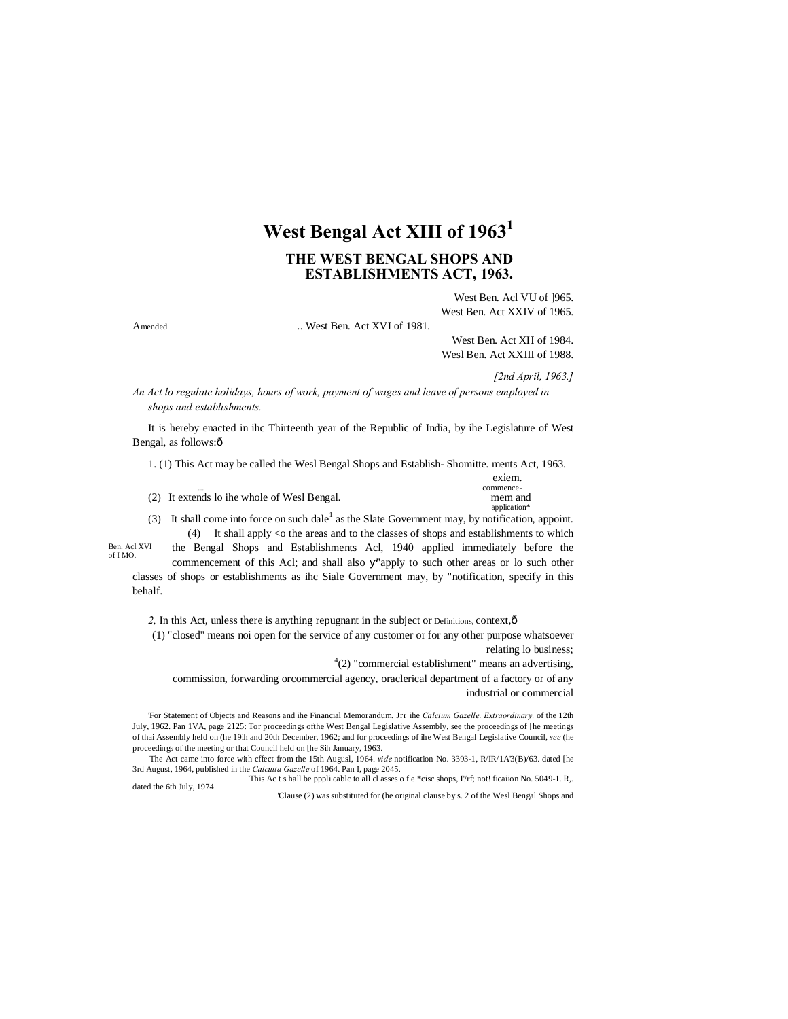# **West Bengal Act XIII of 1963<sup>1</sup>**

# **THE WEST BENGAL SHOPS AND ESTABLISHMENTS ACT, 1963.**

West Ben. Acl VU of ]965. West Ben. Act XXIV of 1965.

Amended ... West Ben. Act XVI of 1981.

West Ben. Act XH of 1984. Wesl Ben. Act XXIII of 1988.

*[2nd April, 1963.]*

*An Act lo regulate holidays, hours of work, payment of wages and leave of persons employed in shops and establishments.*

It is hereby enacted in ihc Thirteenth year of the Republic of India, by ihe Legislature of West Bengal, as follows: $\hat{o}$ 

1. (1) This Act may be called the Wesl Bengal Shops and Establish- Shomitte. ments Act, 1963.

|                                             | exiem.    |
|---------------------------------------------|-----------|
|                                             | commence- |
| (2) It extends lo ihe whole of Wesl Bengal. | mem and   |

application<sup>\*</sup> (3) It shall come into force on such dale<sup>1</sup> as the Slate Government may, by notification, appoint. (4) It shall apply <o the areas and to the classes of shops and establishments to which

Ben. Acl XVI of I MO.

the Bengal Shops and Establishments Acl, 1940 applied immediately before the commencement of this Acl; and shall also "apply to such other areas or lo such other classes of shops or establishments as ihc Siale Government may, by "notification, specify in this behalf.

2, In this Act, unless there is anything repugnant in the subject or Definitions, context,  $\hat{o}$ 

(1) "closed" means noi open for the service of any customer or for any other purpose whatsoever relating lo business;

 $4(2)$  "commercial establishment" means an advertising,

commission, forwarding orcommercial agency, oraclerical department of a factory or of any industrial or commercial

'For Statement of Objects and Reasons and ihe Financial Memorandum. Jrr ihe *Calcium Gazelle. Extraordinary,* of the 12th July, 1962. Pan 1VA, page 2125: Tor proceedings ofthe West Bengal Legislative Assembly, see the proceedings of [he meetings of thai Assembly held on (he 19ih and 20th December, 1962; and for proceedings of ihe West Bengal Legislative Council, *see* (he proceedings of the meeting or that Council held on [he Sih January, 1963.

: The Act came into force with cffect from the 15th Augusl, 1964. *vide* notification No. 3393-1, R/IR/1A'3(B)/63. dated [he 3rd August, 1964, published in the *Calcutta Gazelle* of 1964. Pan I, page 2045.

This Ac t s hall be pppli cablc to all cl asses o f e \*cisc shops, I'/rf; not! ficaiion No. 5049-1. R,.

dated the 6th July, 1974.

'Clause (2) was substituted for (he original clause by s. 2 of the Wesl Bengal Shops and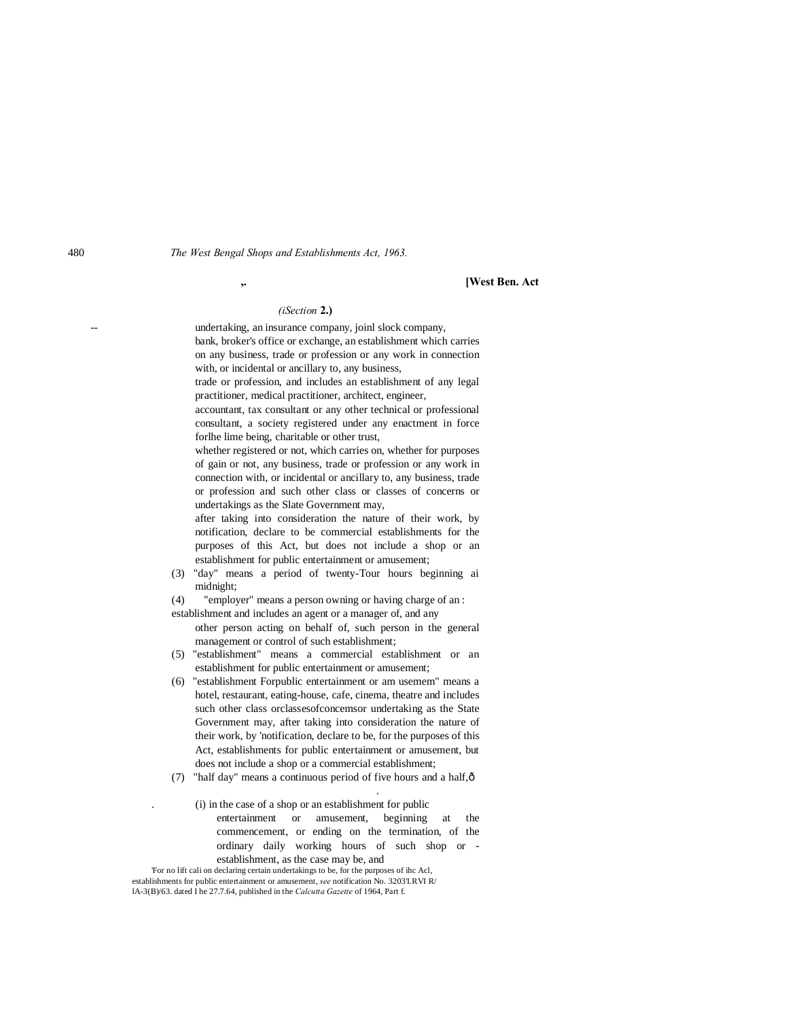### **,. [West Ben. Act**

# *(iSection* **2.)**

undertaking, an insurance company, joinl slock company, bank, broker's office or exchange, an establishment which carries on any business, trade or profession or any work in connection with, or incidental or ancillary to, any business,

trade or profession, and includes an establishment of any legal practitioner, medical practitioner, architect, engineer,

accountant, tax consultant or any other technical or professional consultant, a society registered under any enactment in force forlhe lime being, charitable or other trust,

whether registered or not, which carries on, whether for purposes of gain or not, any business, trade or profession or any work in connection with, or incidental or ancillary to, any business, trade or profession and such other class or classes of concerns or undertakings as the Slate Government may,

after taking into consideration the nature of their work, by notification, declare to be commercial establishments for the purposes of this Act, but does not include a shop or an establishment for public entertainment or amusement;

- (3) "day" means a period of twenty-Tour hours beginning ai midnight;
- (4) "employer" means a person owning or having charge of an :

establishment and includes an agent or a manager of, and any

other person acting on behalf of, such person in the general management or control of such establishment;

- (5) "establishment" means a commercial establishment or an establishment for public entertainment or amusement;
- (6) "establishment Forpublic entertainment or am usemem" means a hotel, restaurant, eating-house, cafe, cinema, theatre and includes such other class orclassesofconcemsor undertaking as the State Government may, after taking into consideration the nature of their work, by 'notification, declare to be, for the purposes of this Act, establishments for public entertainment or amusement, but does not include a shop or a commercial establishment;
- (7) "half day" means a continuous period of five hours and a half, $\delta$

. (i) in the case of a shop or an establishment for public

entertainment or amusement, beginning at the commencement, or ending on the termination, of the ordinary daily working hours of such shop or establishment, as the case may be, and

.

'For no lift cali on declaring certain undertakings to be, for the purposes of ihc Acl, establishments for public entertainment or amusement, *see* notification No. 3203'I.RVI R/ lA-3(B)/63. dated I he 27.7.64, published in the *Calcutta Gazette* of 1964, Part f.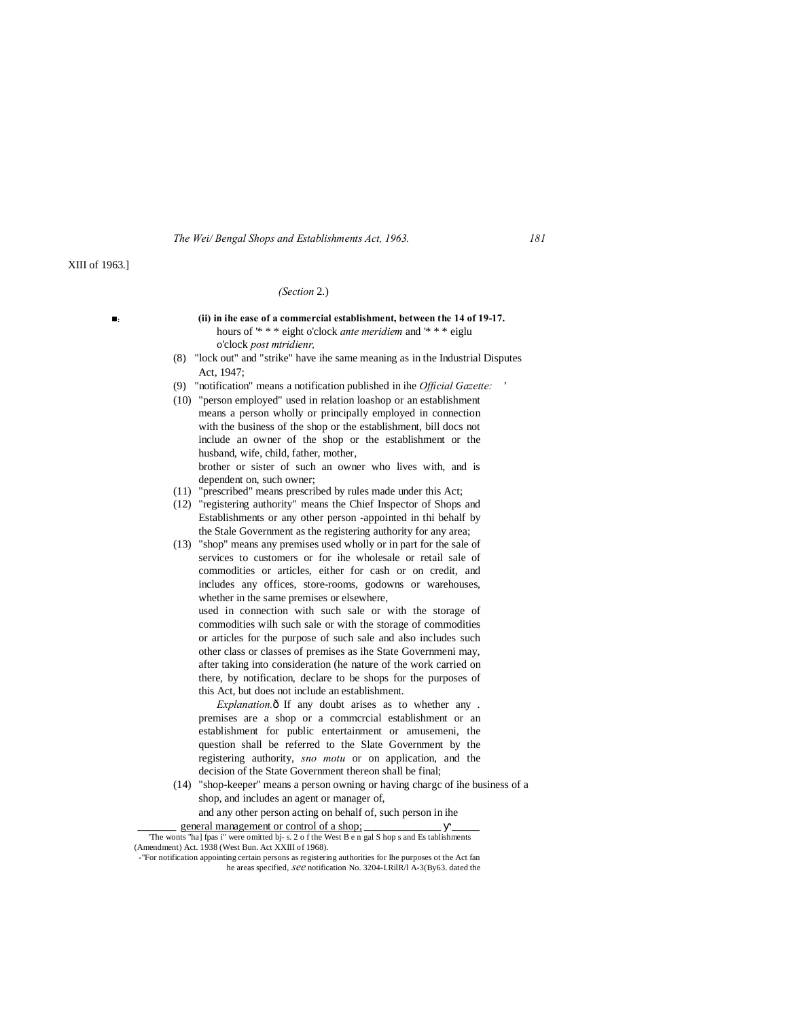# XIII of 1963.]

#### *(Section* 2.)

- **■: (ii) in ihe ease of a commercial establishment, between the 14 of 19-17.** hours of '\* \* \* eight o'clock *ante meridiem* and '\* \* \* eiglu o'clock *post mtridienr,*
	- (8) "lock out" and "strike" have ihe same meaning as in the Industrial Disputes Act, 1947;
	- (9) "notification" means a notification published in ihe *Official Gazette: '*
	- (10) "person employed" used in relation loashop or an establishment means a person wholly or principally employed in connection with the business of the shop or the establishment, bill docs not include an owner of the shop or the establishment or the husband, wife, child, father, mother, brother or sister of such an owner who lives with, and is

dependent on, such owner;

- (11) "prescribed" means prescribed by rules made under this Act;
- (12) "registering authority" means the Chief Inspector of Shops and Establishments or any other person -appointed in thi behalf by the Stale Government as the registering authority for any area;
- (13) "shop" means any premises used wholly or in part for the sale of services to customers or for ihe wholesale or retail sale of commodities or articles, either for cash or on credit, and includes any offices, store-rooms, godowns or warehouses, whether in the same premises or elsewhere,

used in connection with such sale or with the storage of commodities wilh such sale or with the storage of commodities or articles for the purpose of such sale and also includes such other class or classes of premises as ihe State Governmeni may, after taking into consideration (he nature of the work carried on there, by notification, declare to be shops for the purposes of this Act, but does not include an establishment.

*Explanation.* $\delta$  If any doubt arises as to whether any . premises are a shop or a commcrcial establishment or an establishment for public entertainment or amusemeni, the question shall be referred to the Slate Government by the registering authority, *sno motu* or on application, and the decision of the State Government thereon shall be final;

(14) "shop-keeper" means a person owning or having chargc of ihe business of a shop, and includes an agent or manager of, and any other person acting on behalf of, such person in ihe

general management or control of a shop; 'The wonts "ha] fpas i" were omitted bj- s. 2 o f the West B e n gal S hop s and Es tablishments (Amendment) Act. 1938 (West Bun. Act XXIII of 1968).

<sup>-&</sup>quot;For notification appointing certain persons as registering authorities for Ihe purposes ot the Act fan he areas specified, *see* notification No. 3204-I.RilR/l A-3(By63. dated the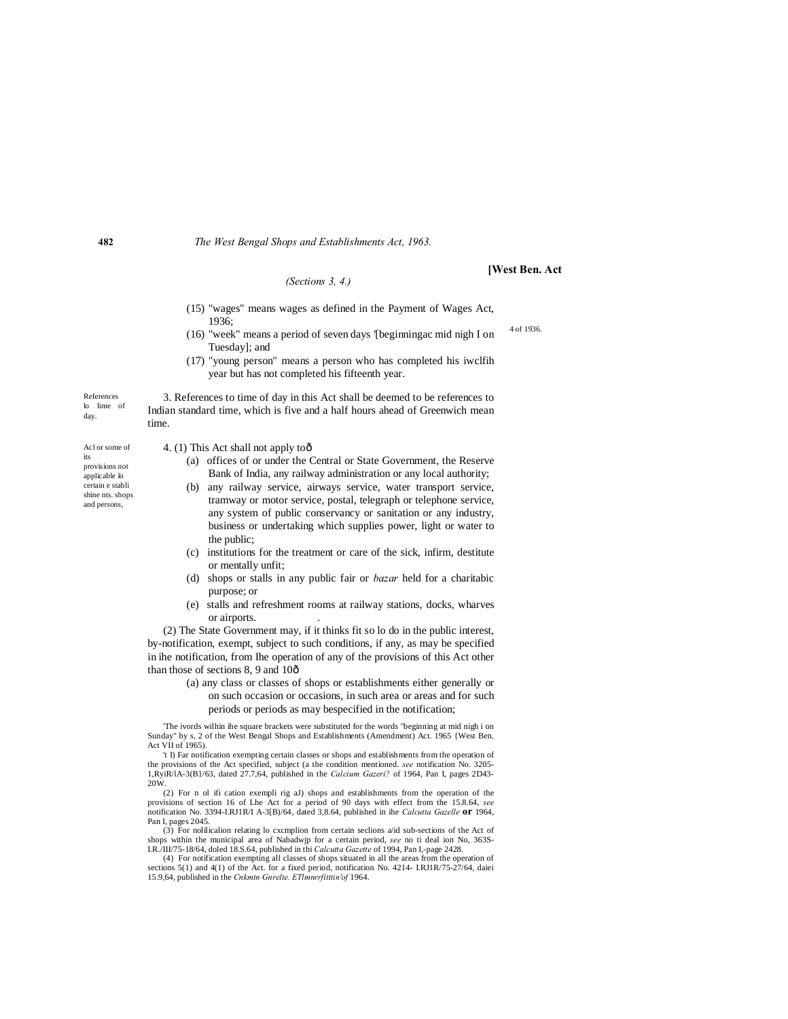#### *(Sections 3, 4.)*

### **[West Ben. Act**

4 of 1936.

- (15) "wages" means wages as defined in the Payment of Wages Act, 1936;
- (16) "week" means a period of seven days '[beginningac mid nigh I on Tuesday]; and
- (17) "young person" means a person who has completed his iwclfih year but has not completed his fifteenth year.

3. References to time of day in this Act shall be deemed to be references to Indian standard time, which is five and a half hours ahead of Greenwich mean

References lo lime of day.

time.

4. (1) This Act shall not apply too

- (a) offices of or under the Central or State Government, the Reserve Bank of India, any railway administration or any local authority;
- (b) any railway service, airways service, water transport service, tramway or motor service, postal, telegraph or telephone service, any system of public conservancy or sanitation or any industry, business or undertaking which supplies power, light or water to the public;
- (c) institutions for the treatment or care of the sick, infirm, destitute or mentally unfit;
- (d) shops or stalls in any public fair or *bazar* held for a charitabic purpose; or
- (e) stalls and refreshment rooms at railway stations, docks, wharves or airports. .

(2) The State Government may, if it thinks fit so lo do in the public interest, by-notification, exempt, subject to such conditions, if any, as may be specified in ihe notification, from Ihe operation of any of the provisions of this Act other than those of sections 8, 9 and 10 $\hat{o}$ 

> (a) any class or classes of shops or establishments either generally or on such occasion or occasions, in such area or areas and for such periods or periods as may bespecified in the notification;

'The ivords wilhin ihe square brackets were substituted for the words "beginning at mid nigh i on Sunday" by s, 2 of the West Bengal Shops and Establishments (Amendment) Act. 1965 {West Ben. Act VII of 1965).

't I) Far notification exempting certain classes or shops and establishments from the operation of the provisions of the Act specified, subject (a the condition mentioned. *see* notification No. 3205- 1,RyiR/lA-3(B}/63, dated 27.7,64, published in the *Calcium Gazeri?* of 1964, Pan I, pages 2D43- 20W.

(2) For n ol ifi cation exempli rig aJ) shops and establishments from the operation of the provisions of section 16 of Lhe Act for a period of 90 days with effect from the 15.8.64, *see* notification No. 3394-I.RJ1R/I A-3 Pan I, pages 2045.

(3) For nolilicalion relating lo cxcmplion from certain seclions a/id sub-sections of the Act of shops within the municipal area of Nabadwjp for a certain period, *see* no ti deal ion No, 363S-I.R./III/75-18/64, doled 18.S.64, published in thi *Calcutta Gazette* of 1994, Pan I,-page 2428.

(4) For notification exempting all classes of shops situated in all the areas from the operation of sections 5(1) and 4(1) of the Act. for a fixed period, notification No. 4214- I.RJ1R/75-27/64, daiei 15.9,64, published in the *Cnkmtn Gnrelte. ETlmnrrfitttin'of* 1964.

**482**

Acl or some of its provisions not applicable lo certain e stabli

shine nts. shops and persons,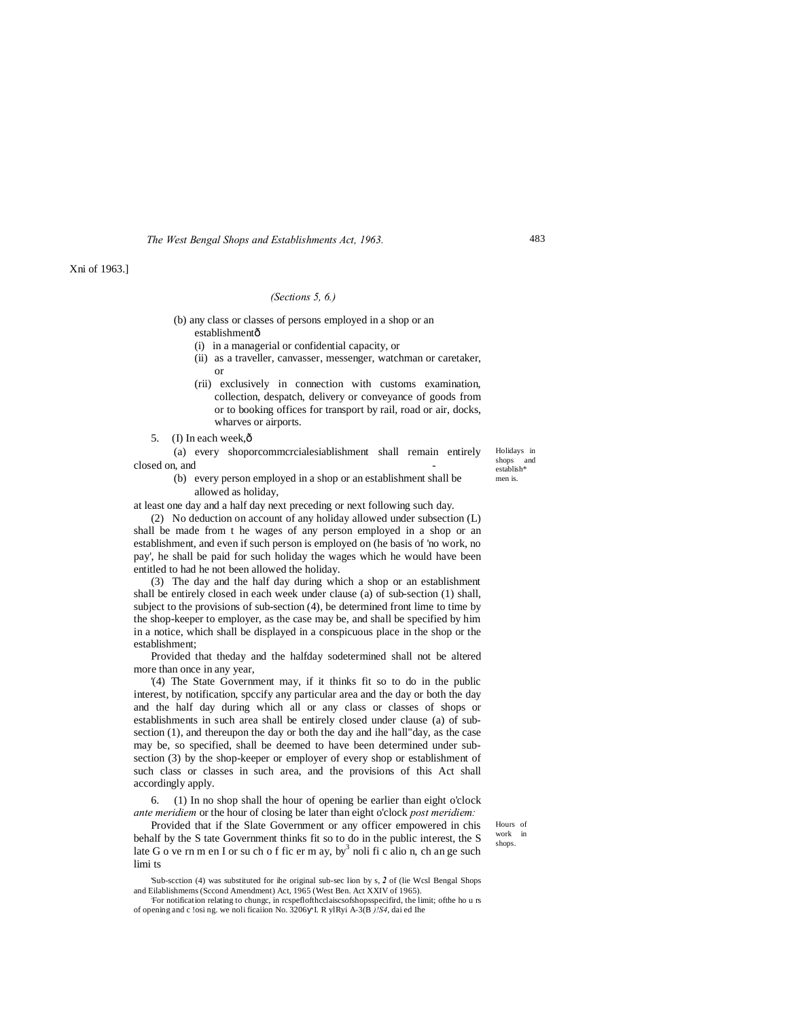Xni of 1963.]

# *(Sections 5, 6.)*

(b) any class or classes of persons employed in a shop or an establishmentô

- (i) in a managerial or confidential capacity, or
- (ii) as a traveller, canvasser, messenger, watchman or caretaker, or
- (rii) exclusively in connection with customs examination, collection, despatch, delivery or conveyance of goods from or to booking offices for transport by rail, road or air, docks, wharves or airports.
- 5. (I) In each week,  $\hat{0}$

(a) every shoporcommcrcialesiablishment shall remain entirely closed on, and

> (b) every person employed in a shop or an establishment shall be allowed as holiday,

at least one day and a half day next preceding or next following such day.

(2) No deduction on account of any holiday allowed under subsection (L) shall be made from t he wages of any person employed in a shop or an establishment, and even if such person is employed on (he basis of 'no work, no pay', he shall be paid for such holiday the wages which he would have been entitled to had he not been allowed the holiday.

(3) The day and the half day during which a shop or an establishment shall be entirely closed in each week under clause (a) of sub-section (1) shall, subject to the provisions of sub-section (4), be determined front lime to time by the shop-keeper to employer, as the case may be, and shall be specified by him in a notice, which shall be displayed in a conspicuous place in the shop or the establishment;

Provided that theday and the halfday sodetermined shall not be altered more than once in any year,

'(4) The State Government may, if it thinks fit so to do in the public interest, by notification, spccify any particular area and the day or both the day and the half day during which all or any class or classes of shops or establishments in such area shall be entirely closed under clause (a) of subsection (1), and thereupon the day or both the day and ihe hall"day, as the case may be, so specified, shall be deemed to have been determined under subsection (3) by the shop-keeper or employer of every shop or establishment of such class or classes in such area, and the provisions of this Act shall accordingly apply.

6. (1) In no shop shall the hour of opening be earlier than eight o'clock *ante meridiem* or the hour of closing be later than eight o'clock *post meridiem:*

Provided that if the Slate Government or any officer empowered in chis behalf by the S tate Government thinks fit so to do in the public interest, the S late G o ve rn m en I or su ch o f fic er m ay, by noli fi c alio n, ch an ge such limi ts

'Sub-scction (4) was substituted for ihe original sub-sec lion by s, *2* of (lie Wcsl Bengal Shops and Eilablishmems (Sccond Amendment) Act, 1965 (West Ben. Act XXIV of 1965).

For notification relating to chungc, in rcspeflofthcclaiscsofshopsspecifird, the limit; ofthe ho u rs of opening and c !osi ng. we noli ficaiion No. 3206 I. R ylRyi A-3(B *)!S4*, dai ed Ihe

Hours of work in shops.

483

Holidays in shops and establish\* men is.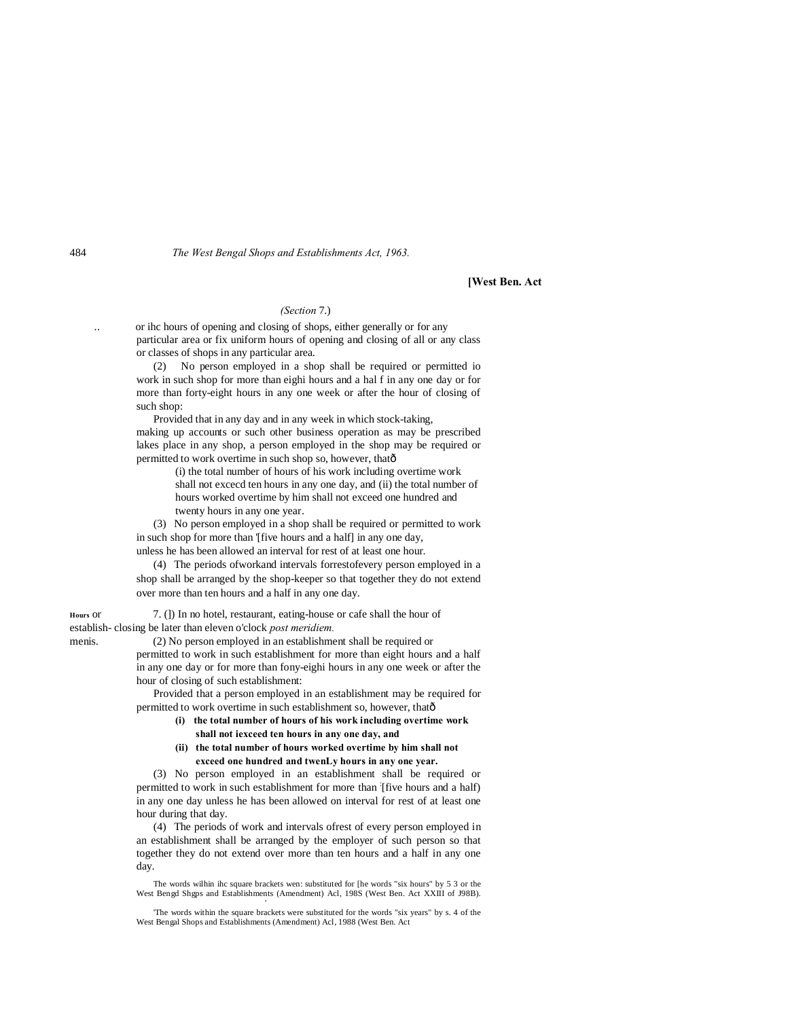### **[West Ben. Act**

# *(Section* 7.)

.. or ihc hours of opening and closing of shops, either generally or for any particular area or fix uniform hours of opening and closing of all or any class or classes of shops in any particular area.

(2) No person employed in a shop shall be required or permitted io work in such shop for more than eighi hours and a hal f in any one day or for more than forty-eight hours in any one week or after the hour of closing of such shop:

Provided that in any day and in any week in which stock-taking, making up accounts or such other business operation as may be prescribed lakes place in any shop, a person employed in the shop may be required or permitted to work overtime in such shop so, however, that $\hat{o}$ 

(i) the total number of hours of his work including overtime work

shall not excecd ten hours in any one day, and (ii) the total number of hours worked overtime by him shall not exceed one hundred and twenty hours in any one year.

(3) No person employed in a shop shall be required or permitted to work in such shop for more than '[five hours and a half] in any one day, unless he has been allowed an interval for rest of at least one hour.

(4) The periods ofworkand intervals forrestofevery person employed in a shop shall be arranged by the shop-keeper so that together they do not extend over more than ten hours and a half in any one day.

**Hours** or 7. (]) In no hotel, restaurant, eating-house or cafe shall the hour of establish- closing be later than eleven o'clock *post meridiem.*

menis. (2) No person employed in an establishment shall be required or permitted to work in such establishment for more than eight hours and a half in any one day or for more than fony-eighi hours in any one week or after the hour of closing of such establishment:

> Provided that a person employed in an establishment may be required for permitted to work overtime in such establishment so, however, thatô

- **(i) the total number of hours of his work including overtime work shall not iexceed ten hours in any one day, and**
- **(ii) the total number of hours worked overtime by him shall not exceed one hundred and twenLy hours in any one year.**

(3) No person employed in an establishment shall be required or permitted to work in such establishment for more than [five hours and a half) in any one day unless he has been allowed on interval for rest of at least one hour during that day.

(4) The periods of work and intervals ofrest of every person employed in an establishment shall be arranged by the employer of such person so that together they do not extend over more than ten hours and a half in any one day.

The words wilhin ihc square brackets wen: substituted for [he words "six hours" by 5 3 or the West Bengd Shgps and Establishments (Amendment) Acl, 198S (West Ben. Act XXIII of J98B).

'The words within the square brackets were substituted for the words "six years" by s. 4 of the West Bengal Shops and Establishments (Amendment) Acl, 1988 (West Ben. Act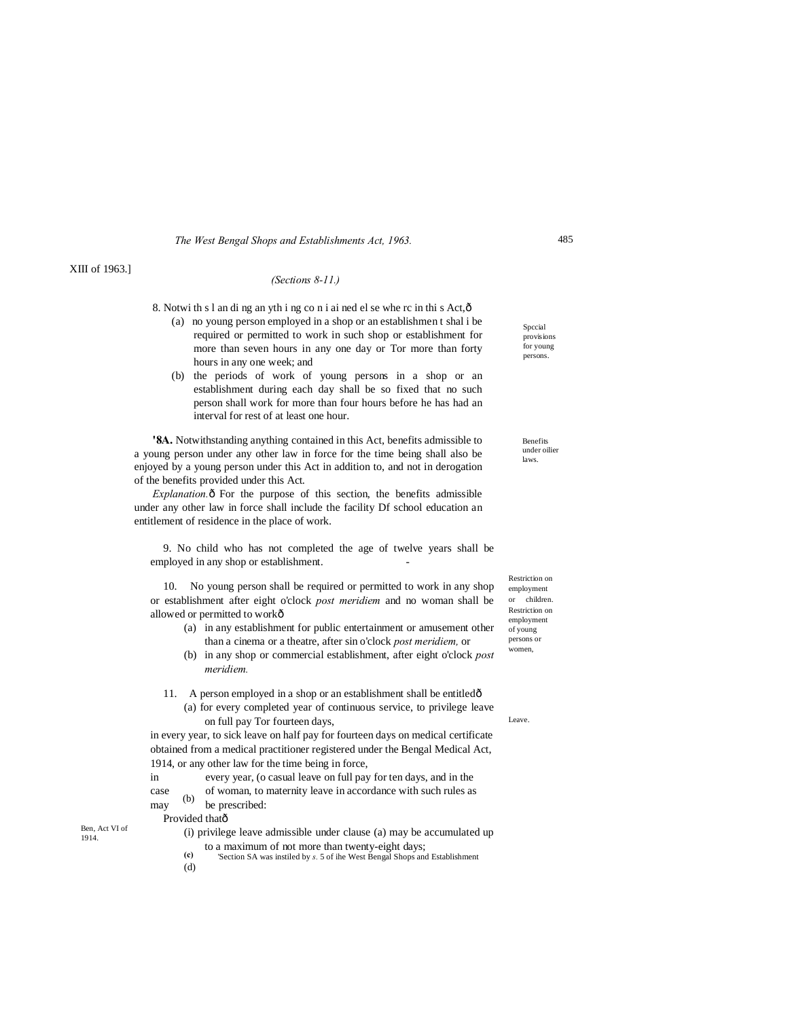# XIII of 1963.]

# *(Sections 8-11.)*

8. Notwi th s l an di ng an yth i ng co n i ai ned el se whe rc in thi s Act,—

- (a) no young person employed in a shop or an establishmen t shal i be required or permitted to work in such shop or establishment for more than seven hours in any one day or Tor more than forty hours in any one week; and
- (b) the periods of work of young persons in a shop or an establishment during each day shall be so fixed that no such person shall work for more than four hours before he has had an interval for rest of at least one hour.

**'8A.** Notwithstanding anything contained in this Act, benefits admissible to a young person under any other law in force for the time being shall also be enjoyed by a young person under this Act in addition to, and not in derogation of the benefits provided under this Act.

*Explanation.* $\hat{o}$  For the purpose of this section, the benefits admissible under any other law in force shall include the facility Df school education an entitlement of residence in the place of work.

9. No child who has not completed the age of twelve years shall be employed in any shop or establishment.

10. No young person shall be required or permitted to work in any shop or establishment after eight o'clock *post meridiem* and no woman shall be allowed or permitted to workô

- (a) in any establishment for public entertainment or amusement other than a cinema or a theatre, after sin o'clock *post meridiem,* or
- (b) in any shop or commercial establishment, after eight o'clock *post meridiem.*
- 11. A person employed in a shop or an establishment shall be entitled—
	- (a) for every completed year of continuous service, to privilege leave on full pay Tor fourteen days,

in every year, to sick leave on half pay for fourteen days on medical certificate obtained from a medical practitioner registered under the Bengal Medical Act, 1914, or any other law for the time being in force,

in every year, (o casual leave on full pay for ten days, and in the

(b) case of woman, to maternity leave in accordance with such rules as may  $\begin{bmatrix} 0 \\ 0 \end{bmatrix}$  be prescribed:

Provided thatô

Ben, Act VI of 1914.

- (i) privilege leave admissible under clause (a) may be accumulated up to a maximum of not more than twenty-eight days;
- **(c)** 'Section SA was instiled by *s*. 5 of ihe West Bengal Shops and Establishment
- (d)

Spccial provisions for young persons.

Benefits under oilier laws.

Restriction on employment or children. Restriction on employment of young persons or .<br>women.

Leave.

485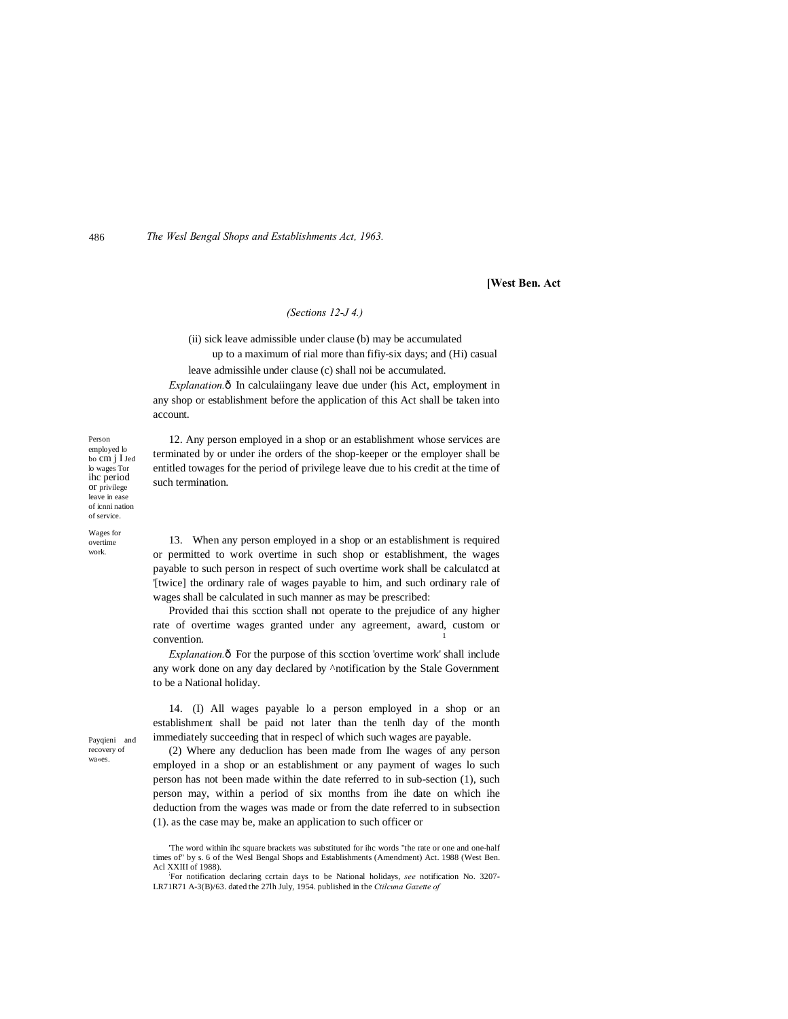**[West Ben. Act**

# *(Sections 12-J 4.)*

(ii) sick leave admissible under clause (b) may be accumulated up to a maximum of rial more than fifiy-six days; and (Hi) casual

leave admissihle under clause (c) shall noi be accumulated.

*Explanation.* $\hat{o}$  In calculaiingany leave due under (his Act, employment in any shop or establishment before the application of this Act shall be taken into account.

12. Any person employed in a shop or an establishment whose services are terminated by or under ihe orders of the shop-keeper or the employer shall be entitled towages for the period of privilege leave due to his credit at the time of

Person employed lo bo cm j I Jed lo wages Tor ihc period or privilege leave in ease of icnni nation of service.

Wages for overtime work.

such termination. 13. When any person employed in a shop or an establishment is required

or permitted to work overtime in such shop or establishment, the wages payable to such person in respect of such overtime work shall be calculatcd at '[twice] the ordinary rale of wages payable to him, and such ordinary rale of wages shall be calculated in such manner as may be prescribed:

Provided thai this scction shall not operate to the prejudice of any higher rate of overtime wages granted under any agreement, award, custom or convention.

*Explanation.* $\delta$  For the purpose of this section 'overtime work' shall include any work done on any day declared by ^notification by the Stale Government to be a National holiday.

Payqieni and recovery of wa«es.

14. (I) All wages payable lo a person employed in a shop or an establishment shall be paid not later than the tenlh day of the month immediately succeeding that in respecl of which such wages are payable.

(2) Where any deduclion has been made from Ihe wages of any person employed in a shop or an establishment or any payment of wages lo such person has not been made within the date referred to in sub-section (1), such person may, within a period of six months from ihe date on which ihe deduction from the wages was made or from the date referred to in subsection (1). as the case may be, make an application to such officer or

<sup>&#</sup>x27;The word within ihc square brackets was substituted for ihc words "the rate or one and one-half times of" by s. 6 of the Wesl Bengal Shops and Establishments (Amendment) Act. 1988 (West Ben. Acl XXIII of 1988).

For notification declaring ccrtain days to be National holidays, *see* notification No. 3207- LR71R71 A-3(B)/63. dated the 27lh July, 1954. published in the *Ctilcuna Gazette of*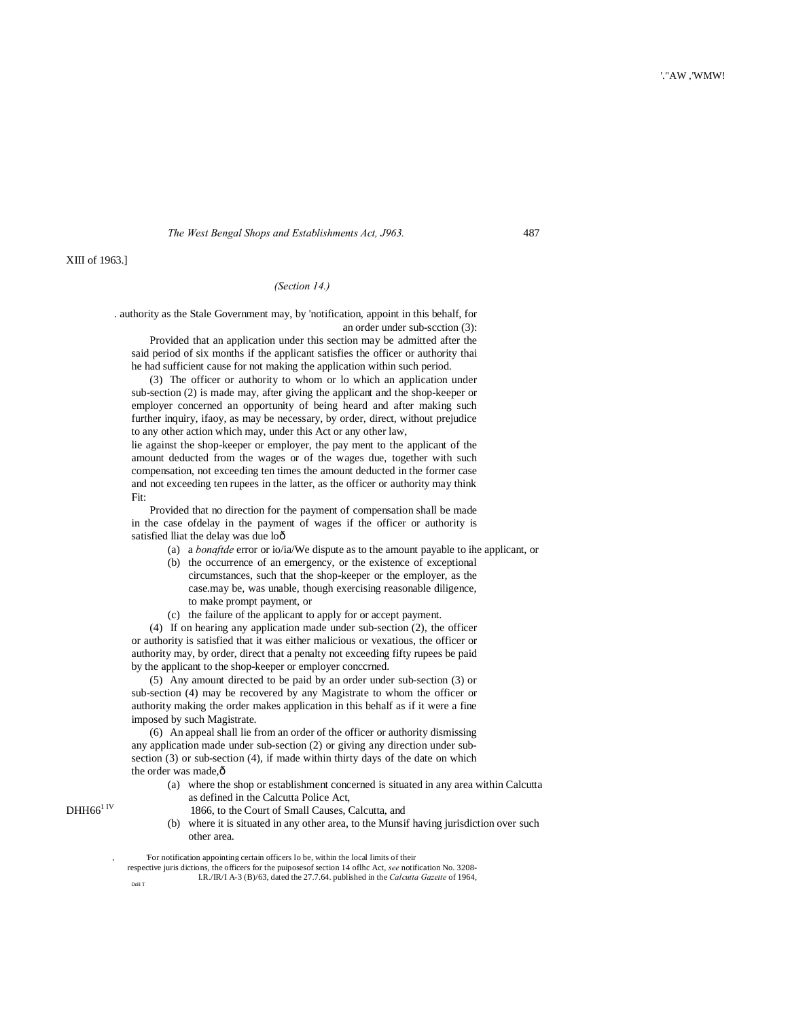XIII of 1963.]

# *(Section 14.)*

. authority as the Stale Government may, by 'notification, appoint in this behalf, for an order under sub-scction (3):

Provided that an application under this section may be admitted after the said period of six months if the applicant satisfies the officer or authority thai he had sufficient cause for not making the application within such period.

(3) The officer or authority to whom or lo which an application under sub-section (2) is made may, after giving the applicant and the shop-keeper or employer concerned an opportunity of being heard and after making such further inquiry, ifaoy, as may be necessary, by order, direct, without prejudice to any other action which may, under this Act or any other law,

lie against the shop-keeper or employer, the pay ment to the applicant of the amount deducted from the wages or of the wages due, together with such compensation, not exceeding ten times the amount deducted in the former case and not exceeding ten rupees in the latter, as the officer or authority may think Fit:

Provided that no direction for the payment of compensation shall be made in the case ofdelay in the payment of wages if the officer or authority is satisfied lliat the delay was due loô

- (a) a *bonaftde* error or io/ia/We dispute as to the amount payable to ihe applicant, or
- (b) the occurrence of an emergency, or the existence of exceptional circumstances, such that the shop-keeper or the employer, as the case.may be, was unable, though exercising reasonable diligence, to make prompt payment, or
- (c) the failure of the applicant to apply for or accept payment.

(4) If on hearing any application made under sub-section (2), the officer or authority is satisfied that it was either malicious or vexatious, the officer or authority may, by order, direct that a penalty not exceeding fifty rupees be paid by the applicant to the shop-keeper or employer conccrned.

(5) Any amount directed to be paid by an order under sub-section (3) or sub-section (4) may be recovered by any Magistrate to whom the officer or authority making the order makes application in this behalf as if it were a fine imposed by such Magistrate.

(6) An appeal shall lie from an order of the officer or authority dismissing any application made under sub-section (2) or giving any direction under subsection (3) or sub-section (4), if made within thirty days of the date on which the order was made, $\hat{o}$ 

> (a) where the shop or establishment concerned is situated in any area within Calcutta as defined in the Calcutta Police Act,

- DHH66<sup>1</sup> IV 1866, to the Court of Small Causes, Calcutta, and
	- (b) where it is situated in any other area, to the Munsif having jurisdiction over such other area.

respective juris dictions, the officers for the puiposesof section 14 oflhc Act, *see* notification No. 3208- I.R./IR/I A-3 (B)/63, dated the 27.7.64. published in the *Calcutta Gazette* of 1964,

DnH T

For notification appointing certain officers lo be, within the local limits of their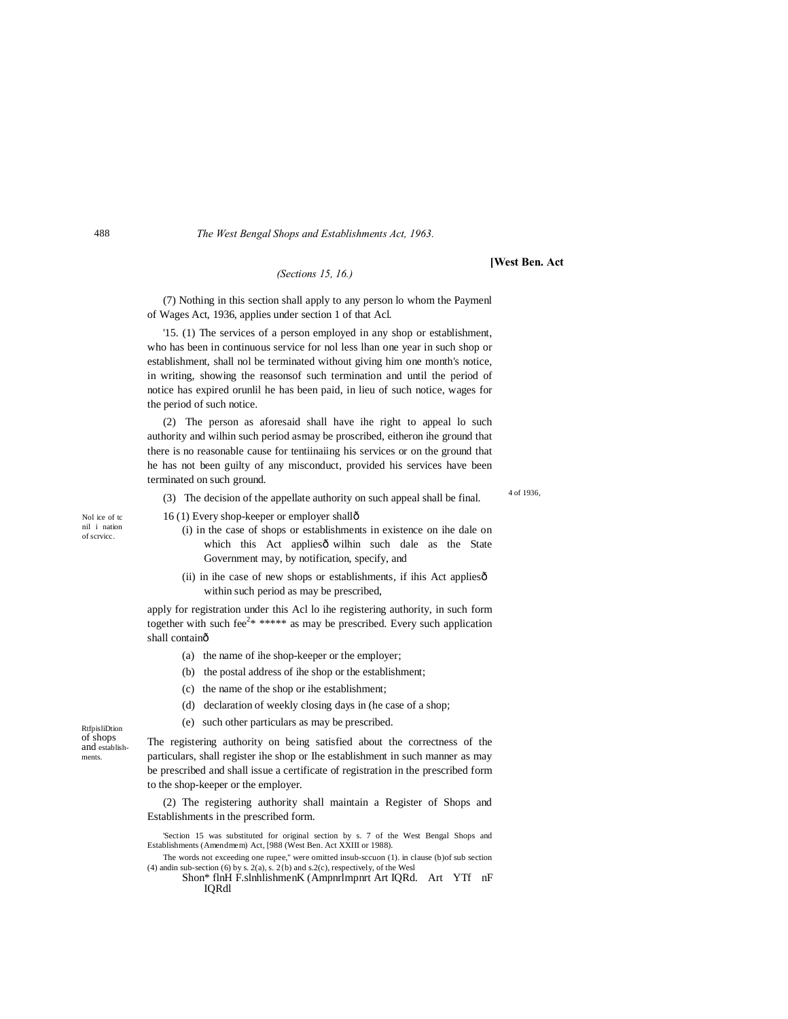*(Sections 15, 16.)*

**[West Ben. Act**

(7) Nothing in this section shall apply to any person lo whom the Paymenl of Wages Act, 1936, applies under section 1 of that Acl.

'15. (1) The services of a person employed in any shop or establishment, who has been in continuous service for nol less lhan one year in such shop or establishment, shall nol be terminated without giving him one month's notice, in writing, showing the reasonsof such termination and until the period of notice has expired orunlil he has been paid, in lieu of such notice, wages for the period of such notice.

(2) The person as aforesaid shall have ihe right to appeal lo such authority and wilhin such period asmay be proscribed, eitheron ihe ground that there is no reasonable cause for tentiinaiing his services or on the ground that he has not been guilty of any misconduct, provided his services have been terminated on such ground.

(3) The decision of the appellate authority on such appeal shall be final.

16 (1) Every shop-keeper or employer shall—

- (i) in the case of shops or establishments in existence on ihe dale on which this Act appliesô wilhin such dale as the State Government may, by notification, specify, and
- (ii) in ihe case of new shops or establishments, if ihis Act applies $\hat{o}$ within such period as may be prescribed,

apply for registration under this Acl lo ihe registering authority, in such form together with such fee<sup>2\*</sup> \*\*\*\*\* as may be prescribed. Every such application shall containô

- (a) the name of ihe shop-keeper or the employer;
- (b) the postal address of ihe shop or the establishment;
- (c) the name of the shop or ihe establishment;
- (d) declaration of weekly closing days in (he case of a shop;
- (e) such other particulars as may be prescribed.

RtfpisliDtion of shops and establishments.

The registering authority on being satisfied about the correctness of the particulars, shall register ihe shop or Ihe establishment in such manner as may be prescribed and shall issue a certificate of registration in the prescribed form to the shop-keeper or the employer.

(2) The registering authority shall maintain a Register of Shops and Establishments in the prescribed form.

'Section 15 was substituted for original section by s. 7 of the West Bengal Shops and Establishments (Amendmem) Act, [988 (West Ben. Act XXIII or 1988).

The words not exceeding one rupee," were omitted insub-sccuon (1). in clause (b)of sub section (4) and in sub-section (6) by s.  $2(a)$ , s.  $2(b)$  and s.  $2(c)$ , respectively, of the Wesl

Shon\* flnH F.slnhlishmenK (Ampnrlmpnrt Art IQRd. Art YTf nF IQRdl

488

4 of 1936,

Nol ice of tc nil i nation of scrvicc.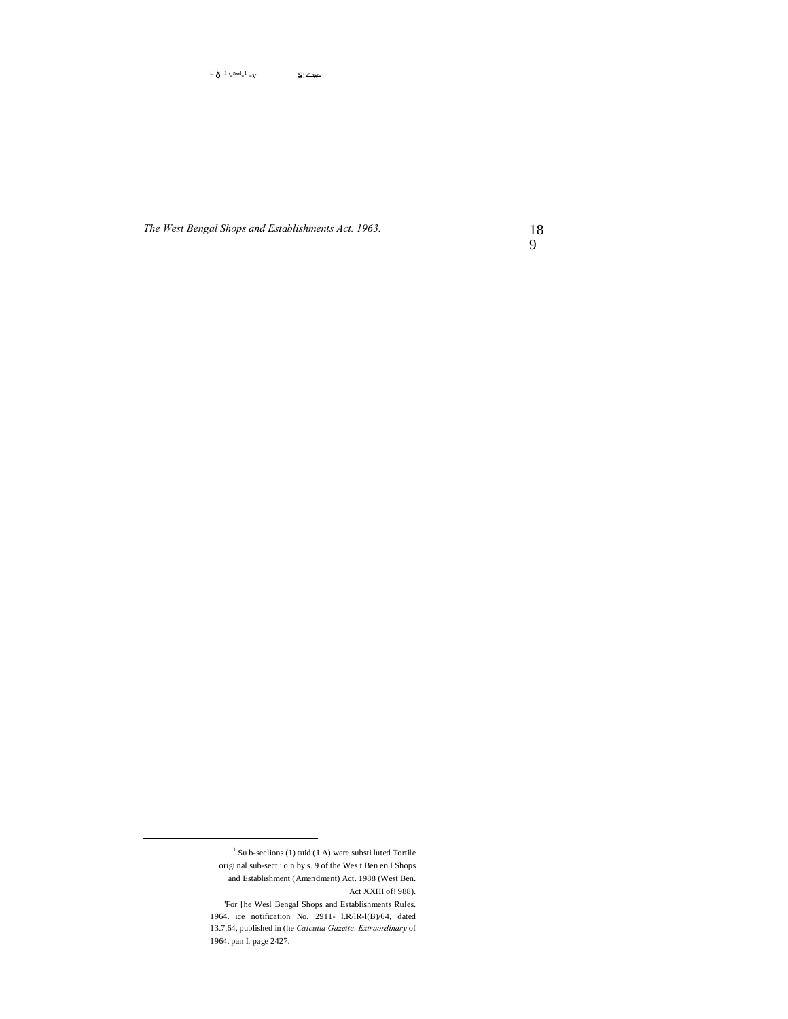$\mu$  <sup>1</sup>"<sup>n\*</sup>"  $S < w$ 

*The West Bengal Shops and Establishments Act. 1963.*

18 9

 $1$  Su b-seclions (1) tuid (1 A) were substi luted Tortile origi nal sub-sect i o n by s. 9 of the Wes t Ben en I Shops and Establishment (Amendment) Act. 1988 (West Ben. Act XXIII of! 988).

<sup>&#</sup>x27;For [he Wesl Bengal Shops and Establishments Rules. 1964. ice notification No. 2911- l.R/lR-l(B)/64, dated 13.7,64, published in (he *Calcutta Gazette. Extraordinary* of 1964. pan I. page 2427.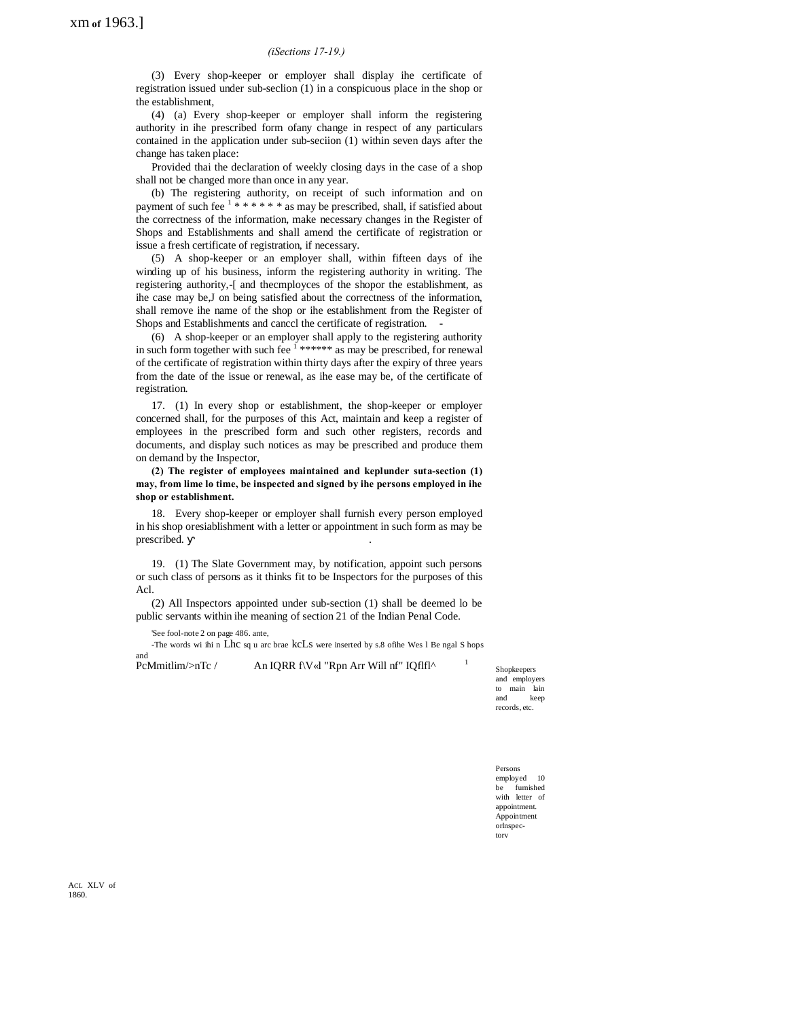# *(iSections 17-19.)*

(3) Every shop-keeper or employer shall display ihe certificate of registration issued under sub-seclion (1) in a conspicuous place in the shop or the establishment,

(4) (a) Every shop-keeper or employer shall inform the registering authority in ihe prescribed form ofany change in respect of any particulars contained in the application under sub-seciion (1) within seven days after the change has taken place:

Provided thai the declaration of weekly closing days in the case of a shop shall not be changed more than once in any year.

(b) The registering authority, on receipt of such information and on payment of such fee  $1$  \* \* \* \* \* \* as may be prescribed, shall, if satisfied about the correctness of the information, make necessary changes in the Register of Shops and Establishments and shall amend the certificate of registration or issue a fresh certificate of registration, if necessary.

(5) A shop-keeper or an employer shall, within fifteen days of ihe winding up of his business, inform the registering authority in writing. The registering authority,-[ and thecmployces of the shopor the establishment, as ihe case may be,J on being satisfied about the correctness of the information, shall remove ihe name of the shop or ihe establishment from the Register of Shops and Establishments and canccl the certificate of registration. -

(6) A shop-keeper or an employer shall apply to the registering authority in such form together with such fee  $1$ \*\*\*\*\*\* as may be prescribed, for renewal of the certificate of registration within thirty days after the expiry of three years from the date of the issue or renewal, as ihe ease may be, of the certificate of registration.

17. (1) In every shop or establishment, the shop-keeper or employer concerned shall, for the purposes of this Act, maintain and keep a register of employees in the prescribed form and such other registers, records and documents, and display such notices as may be prescribed and produce them on demand by the Inspector,

**(2) The register of employees maintained and keplunder suta-section (1) may, from lime lo time, be inspected and signed by ihe persons employed in ihe shop or establishment.**

18. Every shop-keeper or employer shall furnish every person employed in his shop oresiablishment with a letter or appointment in such form as may be prescribed. .

19. (1) The Slate Government may, by notification, appoint such persons or such class of persons as it thinks fit to be Inspectors for the purposes of this Acl.

(2) All Inspectors appointed under sub-section (1) shall be deemed lo be public servants within ihe meaning of section 21 of the Indian Penal Code.

'See fool-note 2 on page 486. ante,

-The words wi ihi n Lhc sq u arc brae kcLs were inserted by s.8 ofihe Wes l Be ngal S hops

and<br>PcMmitlim/>nTc /

An IQRR f\V«l "Rpn Arr Will nf" IQflfl^

Shopkeepers and employers to main lain and keep records, etc.

Persons employed 10 be furnished with letter of appointment. Appointment orlnspectorv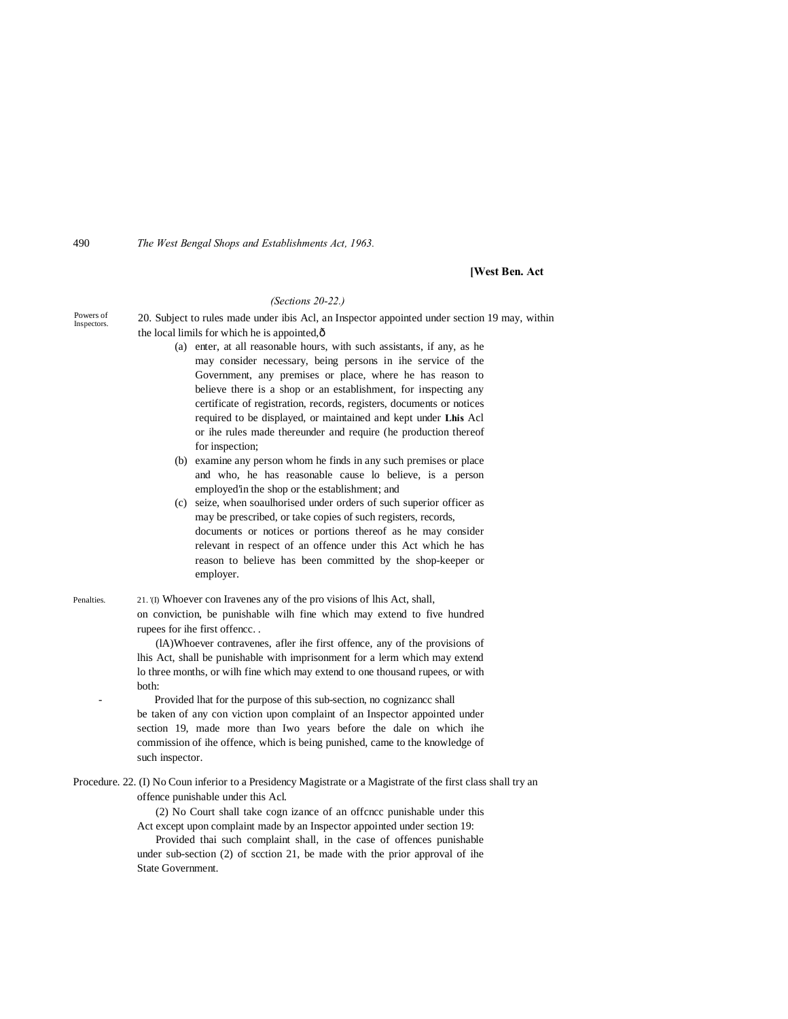## **[West Ben. Act**

### *(Sections 20-22.)*

| Powers of<br>Inspectors. | 20. Subject to rules made under ibis Acl, an Inspector appointed under section 19 may, within |
|--------------------------|-----------------------------------------------------------------------------------------------|
|                          | the local limils for which he is appointed, $\hat{o}$                                         |

- (a) enter, at all reasonable hours, with such assistants, if any, as he may consider necessary, being persons in ihe service of the Government, any premises or place, where he has reason to believe there is a shop or an establishment, for inspecting any certificate of registration, records, registers, documents or notices required to be displayed, or maintained and kept under **Lhis** Acl or ihe rules made thereunder and require (he production thereof for inspection;
- (b) examine any person whom he finds in any such premises or place and who, he has reasonable cause lo believe, is a person employed'in the shop or the establishment; and
- (c) seize, when soaulhorised under orders of such superior officer as may be prescribed, or take copies of such registers, records, documents or notices or portions thereof as he may consider relevant in respect of an offence under this Act which he has reason to believe has been committed by the shop-keeper or employer.

Penalties. 21. (I) Whoever con Iravenes any of the pro visions of lhis Act, shall, on conviction, be punishable wilh fine which may extend to five hundred rupees for ihe first offencc. .

> (lA)Whoever contravenes, afler ihe first offence, any of the provisions of lhis Act, shall be punishable with imprisonment for a lerm which may extend lo three months, or wilh fine which may extend to one thousand rupees, or with both:

> - Provided lhat for the purpose of this sub-section, no cognizancc shall be taken of any con viction upon complaint of an Inspector appointed under section 19, made more than Iwo years before the dale on which ihe commission of ihe offence, which is being punished, came to the knowledge of such inspector.

Procedure. 22. (I) No Coun inferior to a Presidency Magistrate or a Magistrate of the first class shall try an offence punishable under this Acl.

> (2) No Court shall take cogn izance of an offcncc punishable under this Act except upon complaint made by an Inspector appointed under section 19:

> Provided thai such complaint shall, in the case of offences punishable under sub-section (2) of scction 21, be made with the prior approval of ihe State Government.